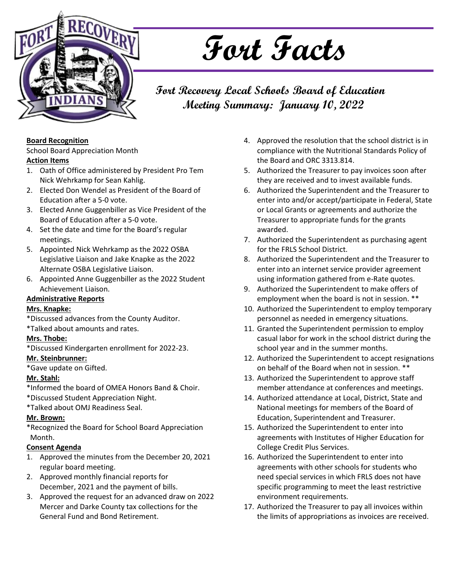

# **Fort Facts**

**Fort Recovery Local Schools Board of Education Meeting Summary: January 10, 2022**

#### **Board Recognition**

School Board Appreciation Month

### **Action Items**

- 1. Oath of Office administered by President Pro Tem Nick Wehrkamp for Sean Kahlig.
- 2. Elected Don Wendel as President of the Board of Education after a 5-0 vote.
- 3. Elected Anne Guggenbiller as Vice President of the Board of Education after a 5-0 vote.
- 4. Set the date and time for the Board's regular meetings.
- 5. Appointed Nick Wehrkamp as the 2022 OSBA Legislative Liaison and Jake Knapke as the 2022 Alternate OSBA Legislative Liaison.
- 6. Appointed Anne Guggenbiller as the 2022 Student Achievement Liaison.

### **Administrative Reports**

### **Mrs. Knapke:**

\*Discussed advances from the County Auditor.

\*Talked about amounts and rates.

### **Mrs. Thobe:**

\*Discussed Kindergarten enrollment for 2022-23.

### **Mr. Steinbrunner:**

\*Gave update on Gifted.

### **Mr. Stahl:**

\*Informed the board of OMEA Honors Band & Choir.

- \*Discussed Student Appreciation Night.
- \*Talked about OMJ Readiness Seal.

### **Mr. Brown:**

\*Recognized the Board for School Board Appreciation Month.

### **Consent Agenda**

- 1. Approved the minutes from the December 20, 2021 regular board meeting.
- 2. Approved monthly financial reports for December, 2021 and the payment of bills.
- 3. Approved the request for an advanced draw on 2022 Mercer and Darke County tax collections for the General Fund and Bond Retirement.
- 4. Approved the resolution that the school district is in compliance with the Nutritional Standards Policy of the Board and ORC 3313.814.
- 5. Authorized the Treasurer to pay invoices soon after they are received and to invest available funds.
- 6. Authorized the Superintendent and the Treasurer to enter into and/or accept/participate in Federal, State or Local Grants or agreements and authorize the Treasurer to appropriate funds for the grants awarded.
- 7. Authorized the Superintendent as purchasing agent for the FRLS School District.
- 8. Authorized the Superintendent and the Treasurer to enter into an internet service provider agreement using information gathered from e-Rate quotes.
- 9. Authorized the Superintendent to make offers of employment when the board is not in session. \*\*
- 10. Authorized the Superintendent to employ temporary personnel as needed in emergency situations.
- 11. Granted the Superintendent permission to employ casual labor for work in the school district during the school year and in the summer months.
- 12. Authorized the Superintendent to accept resignations on behalf of the Board when not in session. \*\*
- 13. Authorized the Superintendent to approve staff member attendance at conferences and meetings.
- 14. Authorized attendance at Local, District, State and National meetings for members of the Board of Education, Superintendent and Treasurer.
- 15. Authorized the Superintendent to enter into agreements with Institutes of Higher Education for College Credit Plus Services.
- 16. Authorized the Superintendent to enter into agreements with other schools for students who need special services in which FRLS does not have specific programming to meet the least restrictive environment requirements.
- 17. Authorized the Treasurer to pay all invoices within the limits of appropriations as invoices are received.